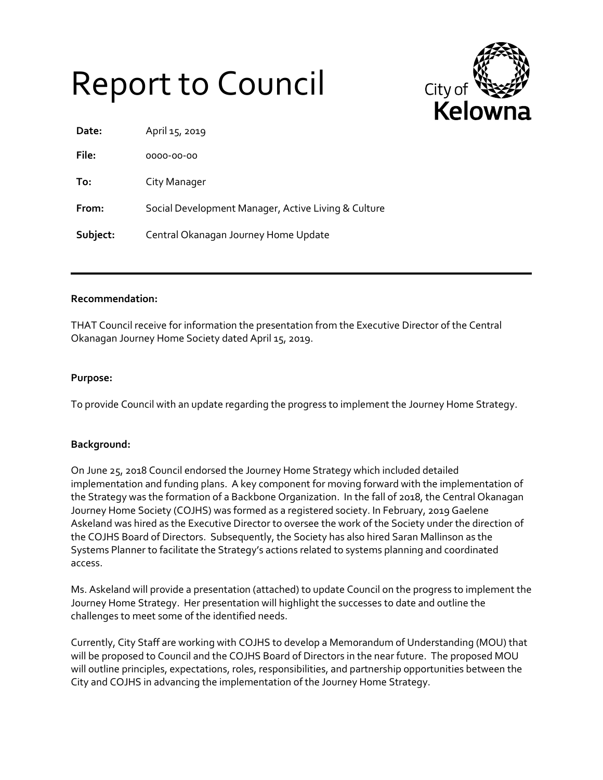## Report to Council



| Date:    | April 15, 2019                                      |
|----------|-----------------------------------------------------|
| File:    | 0000-00-00                                          |
| To:      | City Manager                                        |
| From:    | Social Development Manager, Active Living & Culture |
| Subject: | Central Okanagan Journey Home Update                |

## **Recommendation:**

THAT Council receive for information the presentation from the Executive Director of the Central Okanagan Journey Home Society dated April 15, 2019.

## **Purpose:**

To provide Council with an update regarding the progress to implement the Journey Home Strategy.

## **Background:**

On June 25, 2018 Council endorsed the Journey Home Strategy which included detailed implementation and funding plans. A key component for moving forward with the implementation of the Strategy was the formation of a Backbone Organization. In the fall of 2018, the Central Okanagan Journey Home Society (COJHS) was formed as a registered society. In February, 2019 Gaelene Askeland was hired as the Executive Director to oversee the work of the Society under the direction of the COJHS Board of Directors. Subsequently, the Society has also hired Saran Mallinson as the Systems Planner to facilitate the Strategy's actions related to systems planning and coordinated access.

Ms. Askeland will provide a presentation (attached) to update Council on the progress to implement the Journey Home Strategy. Her presentation will highlight the successes to date and outline the challenges to meet some of the identified needs.

Currently, City Staff are working with COJHS to develop a Memorandum of Understanding (MOU) that will be proposed to Council and the COJHS Board of Directors in the near future. The proposed MOU will outline principles, expectations, roles, responsibilities, and partnership opportunities between the City and COJHS in advancing the implementation of the Journey Home Strategy.